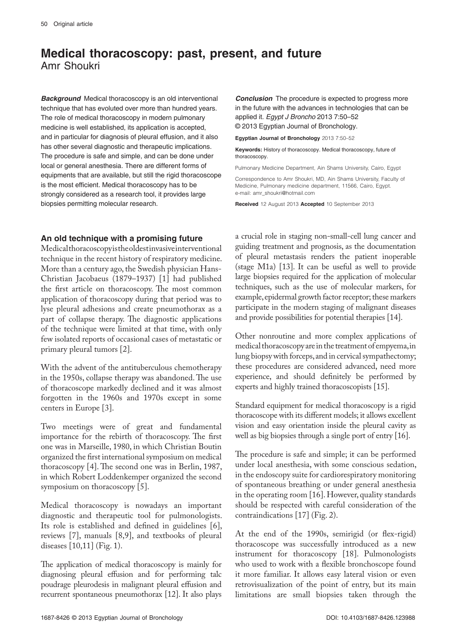## **Medical thoracoscopy: past, present, and future** Amr Shoukri

**Background** Medical thoracoscopy is an old interventional technique that has evoluted over more than hundred years. The role of medical thoracoscopy in modern pulmonary medicine is well established, its application is accepted, and in particular for diagnosis of pleural effusion, and it also has other several diagnostic and therapeutic implications. The procedure is safe and simple, and can be done under local or general anesthesia. There are different forms of equipments that are available, but still the rigid thoracoscope is the most efficient. Medical thoracoscopy has to be strongly considered as a research tool, it provides large biopsies permitting molecular research.

## **An old technique with a promising future**

Medical thoracoscopy is the oldest invasive interventional technique in the recent history of respiratory medicine. More than a century ago, the Swedish physician Hans-Christian Jacobaeus (1879–1937) [1] had published the first article on thoracoscopy. The most common application of thoracoscopy during that period was to lyse pleural adhesions and create pneumothorax as a part of collapse therapy. The diagnostic applications of the technique were limited at that time, with only few isolated reports of occasional cases of metastatic or primary pleural tumors [2].

With the advent of the antituberculous chemotherapy in the 1950s, collapse therapy was abandoned. The use of thoracoscope markedly declined and it was almost forgotten in the 1960s and 1970s except in some centers in Europe [3].

Two meetings were of great and fundamental importance for the rebirth of thoracoscopy. The first one was in Marseille, 1980, in which Christian Boutin organized the first international symposium on medical thoracoscopy [4]. The second one was in Berlin, 1987, in which Robert Loddenkemper organized the second symposium on thoracoscopy [5].

Medical thoracoscopy is nowadays an important diagnostic and therapeutic tool for pulmonologists. Its role is established and defined in guidelines [6], reviews [7], manuals [8,9], and textbooks of pleural diseases [10,11] (Fig. 1).

The application of medical thoracoscopy is mainly for diagnosing pleural effusion and for performing talc poudrage pleurodesis in malignant pleural effusion and recurrent spontaneous pneumothorax [12]. It also plays

**Conclusion** The procedure is expected to progress more in the future with the advances in technologies that can be applied it. *Egypt J Broncho* 2013 7:50–52 © 2013 Egyptian Journal of Bronchology.

**Egyptian Journal of Bronchology** 2013 7:50–52

**Keywords:** History of thoracoscopy. Medical thoracoscopy, future of thoracoscopy.

Pulmonary Medicine Department, Ain Shams University, Cairo, Egypt

Correspondence to Amr Shoukri, MD, Ain Shams University, Faculty of Medicine, Pulmonary medicine department, 11566, Cairo, Egypt. e-mail: amr\_shoukri@hotmail.com

**Received** 12 August 2013 **Accepted** 10 September 2013

a crucial role in staging non-small-cell lung cancer and guiding treatment and prognosis, as the documentation of pleural metastasis renders the patient inoperable (stage M1a) [13]. It can be useful as well to provide large biopsies required for the application of molecular techniques, such as the use of molecular markers, for example, epidermal growth factor receptor; these markers participate in the modern staging of malignant diseases and provide possibilities for potential therapies [14].

Other nonroutine and more complex applications of medical thoracoscopy are in the treatment of empyema, in lung biopsy with forceps, and in cervical sympathectomy; these procedures are considered advanced, need more experience, and should definitely be performed by experts and highly trained thoracoscopists [15].

Standard equipment for medical thoracoscopy is a rigid thoracoscope with its different models; it allows excellent vision and easy orientation inside the pleural cavity as well as big biopsies through a single port of entry [16].

The procedure is safe and simple; it can be performed under local anesthesia, with some conscious sedation, in the endoscopy suite for cardiorespiratory monitoring of spontaneous breathing or under general anesthesia in the operating room [16]. However, quality standards should be respected with careful consideration of the contraindications [17] (Fig. 2).

At the end of the 1990s, semirigid (or flex-rigid) thoracoscope was successfully introduced as a new instrument for thoracoscopy [18]. Pulmonologists who used to work with a flexible bronchoscope found it more familiar. It allows easy lateral vision or even retrovisualization of the point of entry, but its main limitations are small biopsies taken through the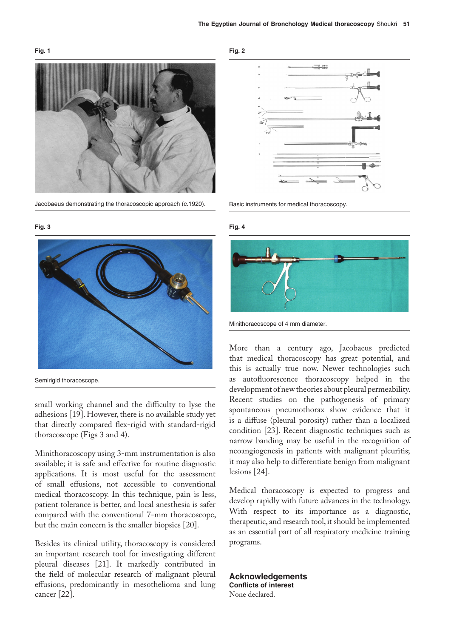## **Fig. 1**

**Fig. 3**



Jacobaeus demonstrating the thoracoscopic approach (c.1920).



Semirigid thoracoscope.

small working channel and the difficulty to lyse the adhesions [19]. However, there is no available study yet that directly compared flex-rigid with standard-rigid thoracoscope (Figs 3 and 4).

Minithoracoscopy using 3-mm instrumentation is also available; it is safe and effective for routine diagnostic applications. It is most useful for the assessment of small effusions, not accessible to conventional medical thoracoscopy. In this technique, pain is less, patient tolerance is better, and local anesthesia is safer compared with the conventional 7-mm thoracoscope, but the main concern is the smaller biopsies [20].

Besides its clinical utility, thoracoscopy is considered an important research tool for investigating different pleural diseases [21]. It markedly contributed in the field of molecular research of malignant pleural effusions, predominantly in mesothelioma and lung cancer [22].





Basic instruments for medical thoracoscopy.





Minithoracoscope of 4 mm diameter.

More than a century ago, Jacobaeus predicted that medical thoracoscopy has great potential, and this is actually true now. Newer technologies such as autofluorescence thoracoscopy helped in the development of new theories about pleural permeability. Recent studies on the pathogenesis of primary spontaneous pneumothorax show evidence that it is a diffuse (pleural porosity) rather than a localized condition [23]. Recent diagnostic techniques such as narrow banding may be useful in the recognition of neoangiogenesis in patients with malignant pleuritis; it may also help to differentiate benign from malignant lesions [24].

Medical thoracoscopy is expected to progress and develop rapidly with future advances in the technology. With respect to its importance as a diagnostic, therapeutic, and research tool, it should be implemented as an essential part of all respiratory medicine training programs.

**Acknowledgements Conflicts of interest** None declared.